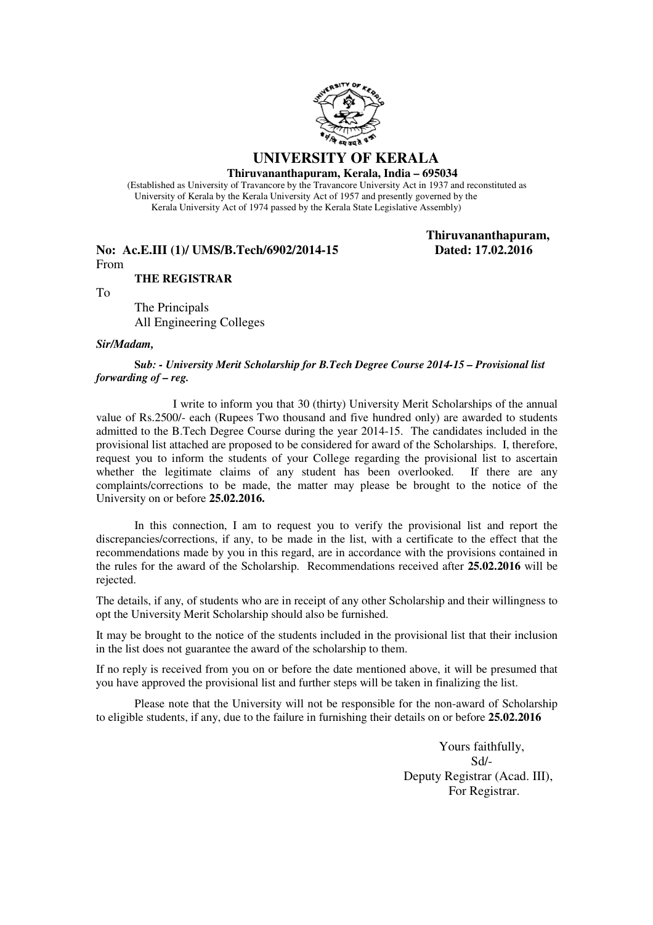

#### **UNIVERSITY OF KERALA Thiruvananthapuram, Kerala, India – 695034**

 (Established as University of Travancore by the Travancore University Act in 1937 and reconstituted as University of Kerala by the Kerala University Act of 1957 and presently governed by the Kerala University Act of 1974 passed by the Kerala State Legislative Assembly)

### **No: Ac.E.III (1)/ UMS/B.Tech/6902/2014-15 Dated: 17.02.2016** From

 **Thiruvananthapuram,** 

To

 The Principals All Engineering Colleges

**THE REGISTRAR** 

#### *Sir/Madam,*

**S***ub: - University Merit Scholarship for B.Tech Degree Course 2014-15 – Provisional list forwarding of – reg.* 

 I write to inform you that 30 (thirty) University Merit Scholarships of the annual value of Rs.2500/- each (Rupees Two thousand and five hundred only) are awarded to students admitted to the B.Tech Degree Course during the year 2014-15. The candidates included in the provisional list attached are proposed to be considered for award of the Scholarships. I, therefore, request you to inform the students of your College regarding the provisional list to ascertain whether the legitimate claims of any student has been overlooked. If there are any complaints/corrections to be made, the matter may please be brought to the notice of the University on or before **25.02.2016.** 

In this connection, I am to request you to verify the provisional list and report the discrepancies/corrections, if any, to be made in the list, with a certificate to the effect that the recommendations made by you in this regard, are in accordance with the provisions contained in the rules for the award of the Scholarship. Recommendations received after **25.02.2016** will be rejected.

 The details, if any, of students who are in receipt of any other Scholarship and their willingness to opt the University Merit Scholarship should also be furnished.

 It may be brought to the notice of the students included in the provisional list that their inclusion in the list does not guarantee the award of the scholarship to them.

 If no reply is received from you on or before the date mentioned above, it will be presumed that you have approved the provisional list and further steps will be taken in finalizing the list.

 Please note that the University will not be responsible for the non-award of Scholarship to eligible students, if any, due to the failure in furnishing their details on or before **25.02.2016** 

> Yours faithfully, Sd/- Deputy Registrar (Acad. III), For Registrar.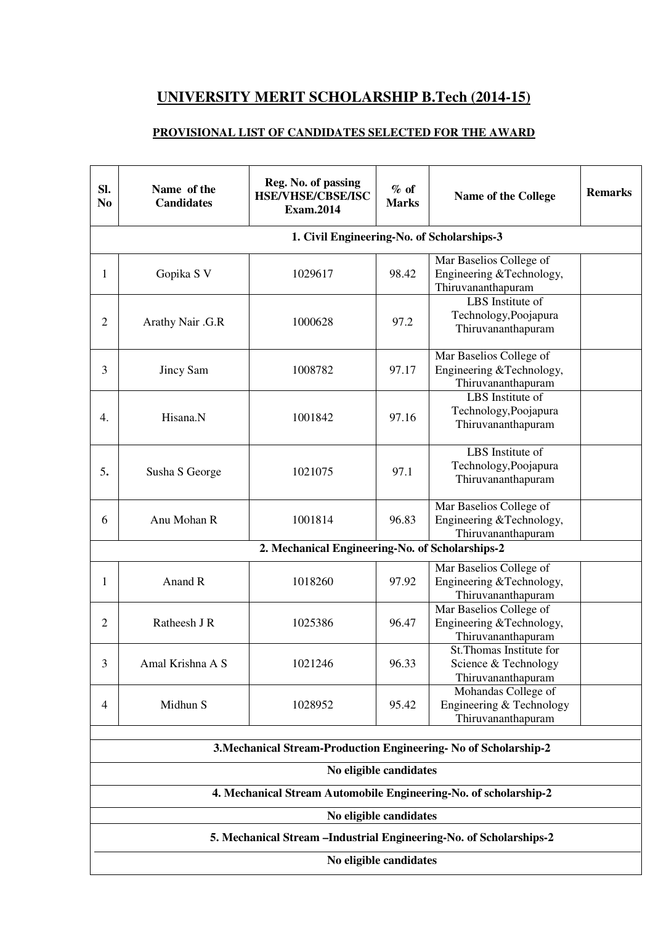# **UNIVERSITY MERIT SCHOLARSHIP B.Tech (2014-15)**

## **PROVISIONAL LIST OF CANDIDATES SELECTED FOR THE AWARD**

| Sl.<br>N <sub>0</sub>  | Name of the<br><b>Candidates</b> | Reg. No. of passing<br><b>HSE/VHSE/CBSE/ISC</b><br><b>Exam.2014</b> | $%$ of<br><b>Marks</b> | <b>Name of the College</b>                                                | <b>Remarks</b> |  |
|------------------------|----------------------------------|---------------------------------------------------------------------|------------------------|---------------------------------------------------------------------------|----------------|--|
|                        |                                  | 1. Civil Engineering-No. of Scholarships-3                          |                        |                                                                           |                |  |
| 1                      | Gopika S V                       | 1029617                                                             | 98.42                  | Mar Baselios College of<br>Engineering &Technology,<br>Thiruvananthapuram |                |  |
| $\overline{2}$         | Arathy Nair .G.R                 | 1000628                                                             | 97.2                   | LBS Institute of<br>Technology, Poojapura<br>Thiruvananthapuram           |                |  |
| 3                      | Jincy Sam                        | 1008782                                                             | 97.17                  | Mar Baselios College of<br>Engineering &Technology,<br>Thiruvananthapuram |                |  |
| 4.                     | Hisana.N                         | 1001842                                                             | 97.16                  | LBS Institute of<br>Technology, Poojapura<br>Thiruvananthapuram           |                |  |
| 5.                     | Susha S George                   | 1021075                                                             | 97.1                   | LBS Institute of<br>Technology, Poojapura<br>Thiruvananthapuram           |                |  |
| 6                      | Anu Mohan R                      | 1001814                                                             | 96.83                  | Mar Baselios College of<br>Engineering &Technology,<br>Thiruvananthapuram |                |  |
|                        |                                  | 2. Mechanical Engineering-No. of Scholarships-2                     |                        |                                                                           |                |  |
| 1                      | Anand R                          | 1018260                                                             | 97.92                  | Mar Baselios College of<br>Engineering &Technology,<br>Thiruvananthapuram |                |  |
| $\overline{2}$         | Ratheesh J R                     | 1025386                                                             | 96.47                  | Mar Baselios College of<br>Engineering &Technology,<br>Thiruvananthapuram |                |  |
| 3                      | Amal Krishna A S                 | 1021246                                                             | 96.33                  | St. Thomas Institute for<br>Science & Technology<br>Thiruvananthapuram    |                |  |
| $\overline{4}$         | Midhun S                         | 1028952                                                             | 95.42                  | Mohandas College of<br>Engineering & Technology<br>Thiruvananthapuram     |                |  |
|                        |                                  | 3. Mechanical Stream-Production Engineering-No of Scholarship-2     |                        |                                                                           |                |  |
|                        |                                  |                                                                     | No eligible candidates |                                                                           |                |  |
|                        |                                  | 4. Mechanical Stream Automobile Engineering-No. of scholarship-2    |                        |                                                                           |                |  |
|                        |                                  |                                                                     | No eligible candidates |                                                                           |                |  |
|                        |                                  | 5. Mechanical Stream -Industrial Engineering-No. of Scholarships-2  |                        |                                                                           |                |  |
| No eligible candidates |                                  |                                                                     |                        |                                                                           |                |  |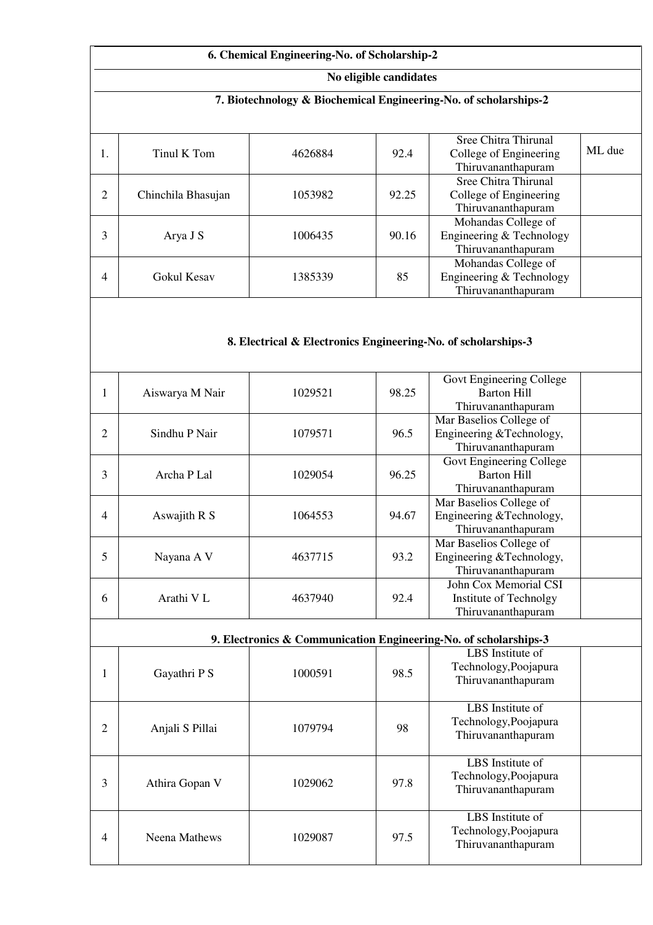|                                                                  |                    | 6. Chemical Engineering-No. of Scholarship-2                  |                        |                                                                           |        |  |
|------------------------------------------------------------------|--------------------|---------------------------------------------------------------|------------------------|---------------------------------------------------------------------------|--------|--|
|                                                                  |                    |                                                               | No eligible candidates |                                                                           |        |  |
| 7. Biotechnology & Biochemical Engineering-No. of scholarships-2 |                    |                                                               |                        |                                                                           |        |  |
| 1.                                                               | Tinul K Tom        | 4626884                                                       | 92.4                   | Sree Chitra Thirunal<br>College of Engineering<br>Thiruvananthapuram      | ML due |  |
| $\overline{2}$                                                   | Chinchila Bhasujan | 1053982                                                       | 92.25                  | Sree Chitra Thirunal<br>College of Engineering<br>Thiruvananthapuram      |        |  |
| 3                                                                | Arya J S           | 1006435                                                       | 90.16                  | Mohandas College of<br>Engineering & Technology<br>Thiruvananthapuram     |        |  |
| 4                                                                | Gokul Kesav        | 1385339                                                       | 85                     | Mohandas College of<br>Engineering & Technology<br>Thiruvananthapuram     |        |  |
| 1                                                                | Aiswarya M Nair    | 1029521                                                       | 98.25                  | Govt Engineering College<br><b>Barton Hill</b>                            |        |  |
|                                                                  |                    | 8. Electrical & Electronics Engineering-No. of scholarships-3 |                        |                                                                           |        |  |
|                                                                  |                    |                                                               |                        | Thiruvananthapuram<br>Mar Baselios College of                             |        |  |
| 2                                                                | Sindhu P Nair      | 1079571                                                       | 96.5                   | Engineering &Technology,<br>Thiruvananthapuram                            |        |  |
| 3                                                                | Archa P Lal        | 1029054                                                       | 96.25                  | Govt Engineering College<br><b>Barton Hill</b><br>Thiruvananthapuram      |        |  |
| 4                                                                | Aswajith R S       | 1064553                                                       | 94.67                  | Mar Baselios College of<br>Engineering &Technology,<br>Thiruvananthapuram |        |  |
| 5                                                                | Nayana A V         | 4637715                                                       | 93.2                   | Mar Baselios College of<br>Engineering &Technology,<br>Thiruvananthapuram |        |  |
| 6                                                                | Arathi V L         | 4637940                                                       | 92.4                   | John Cox Memorial CSI<br>Institute of Technolgy<br>Thiruvananthapuram     |        |  |
|                                                                  |                    |                                                               |                        | 9. Electronics & Communication Engineering-No. of scholarships-3          |        |  |
| $\mathbf{1}$                                                     | Gayathri P S       | 1000591                                                       | 98.5                   | LBS Institute of<br>Technology, Poojapura<br>Thiruvananthapuram           |        |  |
| $\overline{2}$                                                   | Anjali S Pillai    | 1079794                                                       | 98                     | LBS Institute of<br>Technology, Poojapura<br>Thiruvananthapuram           |        |  |
| 3                                                                | Athira Gopan V     | 1029062                                                       | 97.8                   | LBS Institute of<br>Technology, Poojapura<br>Thiruvananthapuram           |        |  |

LBS Institute of Technology,Poojapura Thiruvananthapuram

4 Neena Mathews 1029087 97.5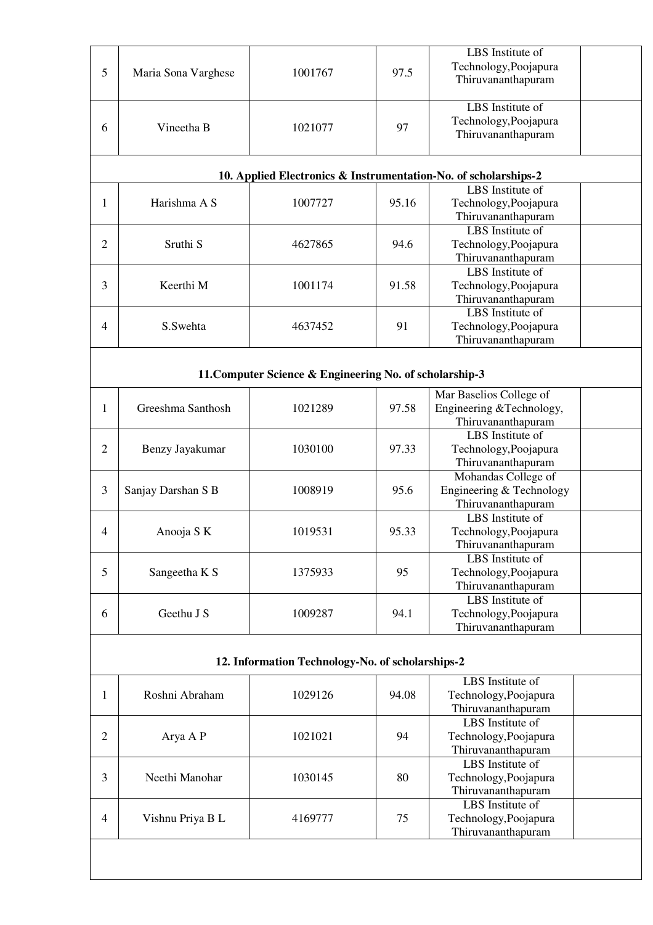|                |                     |                                                         |       | LBS Institute of                                                |  |
|----------------|---------------------|---------------------------------------------------------|-------|-----------------------------------------------------------------|--|
| 5              | Maria Sona Varghese | 1001767                                                 | 97.5  | Technology, Poojapura                                           |  |
|                |                     |                                                         |       | Thiruvananthapuram                                              |  |
|                |                     |                                                         |       | LBS Institute of                                                |  |
|                |                     |                                                         |       |                                                                 |  |
| 6              | Vineetha B          | 1021077                                                 | 97    | Technology, Poojapura                                           |  |
|                |                     |                                                         |       | Thiruvananthapuram                                              |  |
|                |                     |                                                         |       | 10. Applied Electronics & Instrumentation-No. of scholarships-2 |  |
|                |                     |                                                         |       | LBS Institute of                                                |  |
| 1              | Harishma A S        | 1007727                                                 | 95.16 | Technology, Poojapura                                           |  |
|                |                     |                                                         |       | Thiruvananthapuram                                              |  |
|                | Sruthi <sub>S</sub> |                                                         |       | LBS Institute of                                                |  |
| $\mathbf{2}$   |                     | 4627865                                                 | 94.6  | Technology, Poojapura                                           |  |
|                |                     |                                                         |       | Thiruvananthapuram                                              |  |
|                |                     |                                                         |       | LBS Institute of                                                |  |
| 3              | Keerthi M           | 1001174                                                 | 91.58 | Technology, Poojapura                                           |  |
|                | S.Swehta            |                                                         |       | Thiruvananthapuram                                              |  |
|                |                     |                                                         |       | LBS Institute of                                                |  |
| 4              |                     | 4637452                                                 | 91    | Technology, Poojapura                                           |  |
|                |                     |                                                         |       | Thiruvananthapuram                                              |  |
|                |                     |                                                         |       |                                                                 |  |
|                |                     |                                                         |       |                                                                 |  |
|                |                     | 11. Computer Science & Engineering No. of scholarship-3 |       |                                                                 |  |
|                |                     |                                                         |       | Mar Baselios College of                                         |  |
| 1              | Greeshma Santhosh   | 1021289                                                 | 97.58 | Engineering &Technology,                                        |  |
|                |                     |                                                         |       | Thiruvananthapuram                                              |  |
|                |                     |                                                         |       | LBS Institute of                                                |  |
| $\overline{2}$ | Benzy Jayakumar     | 1030100                                                 | 97.33 | Technology, Poojapura                                           |  |
|                |                     |                                                         |       | Thiruvananthapuram                                              |  |
|                |                     | 1008919                                                 |       | Mohandas College of                                             |  |
| 3              | Sanjay Darshan S B  |                                                         | 95.6  | Engineering & Technology                                        |  |
|                |                     |                                                         |       | Thiruvananthapuram                                              |  |
|                |                     | 1019531                                                 |       | LBS Institute of                                                |  |
| 4              | Anooja S K          |                                                         | 95.33 | Technology, Poojapura                                           |  |
|                |                     |                                                         |       | Thiruvananthapuram                                              |  |
|                | Sangeetha K S       | 1375933                                                 |       | LBS Institute of                                                |  |
| 5              |                     |                                                         |       |                                                                 |  |
|                |                     |                                                         | 95    | Technology, Poojapura                                           |  |
|                |                     |                                                         |       | Thiruvananthapuram                                              |  |
|                |                     |                                                         |       | LBS Institute of                                                |  |
| 6              | Geethu J S          | 1009287                                                 | 94.1  | Technology, Poojapura                                           |  |
|                |                     |                                                         |       | Thiruvananthapuram                                              |  |
|                |                     |                                                         |       |                                                                 |  |
|                |                     | 12. Information Technology-No. of scholarships-2        |       |                                                                 |  |
|                |                     |                                                         |       | LBS Institute of                                                |  |
| 1              | Roshni Abraham      | 1029126                                                 | 94.08 | Technology, Poojapura                                           |  |
|                |                     |                                                         |       | Thiruvananthapuram                                              |  |
|                |                     |                                                         |       | LBS Institute of                                                |  |
| $\mathbf{2}$   | Arya A P            | 1021021                                                 | 94    | Technology, Poojapura                                           |  |
|                |                     |                                                         |       | Thiruvananthapuram                                              |  |
|                |                     |                                                         |       | LBS Institute of                                                |  |
| 3              | Neethi Manohar      | 1030145                                                 | 80    | Technology, Poojapura                                           |  |
|                |                     |                                                         |       | Thiruvananthapuram                                              |  |
|                |                     |                                                         |       | LBS Institute of                                                |  |
| $\overline{4}$ | Vishnu Priya B L    | 4169777                                                 | 75    | Technology, Poojapura                                           |  |
|                |                     |                                                         |       | Thiruvananthapuram                                              |  |